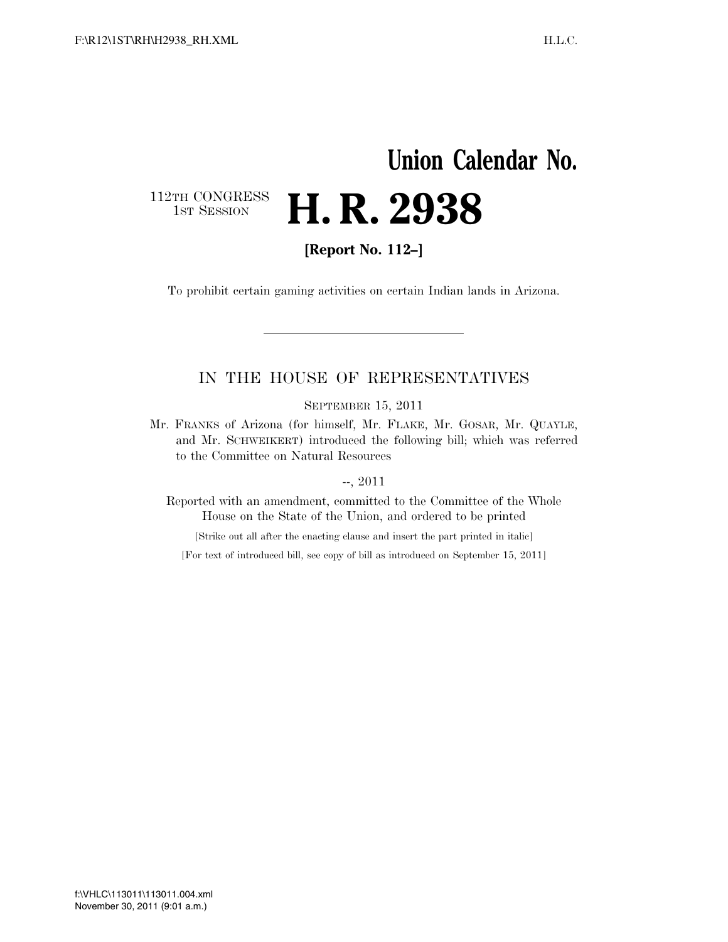## **Union Calendar No.**  112TH CONGRESS<br>1st Session H. R. 2938

**[Report No. 112–]** 

To prohibit certain gaming activities on certain Indian lands in Arizona.

### IN THE HOUSE OF REPRESENTATIVES

SEPTEMBER 15, 2011

Mr. FRANKS of Arizona (for himself, Mr. FLAKE, Mr. GOSAR, Mr. QUAYLE, and Mr. SCHWEIKERT) introduced the following bill; which was referred to the Committee on Natural Resources

--, 2011

Reported with an amendment, committed to the Committee of the Whole House on the State of the Union, and ordered to be printed

[Strike out all after the enacting clause and insert the part printed in italic]

[For text of introduced bill, see copy of bill as introduced on September 15, 2011]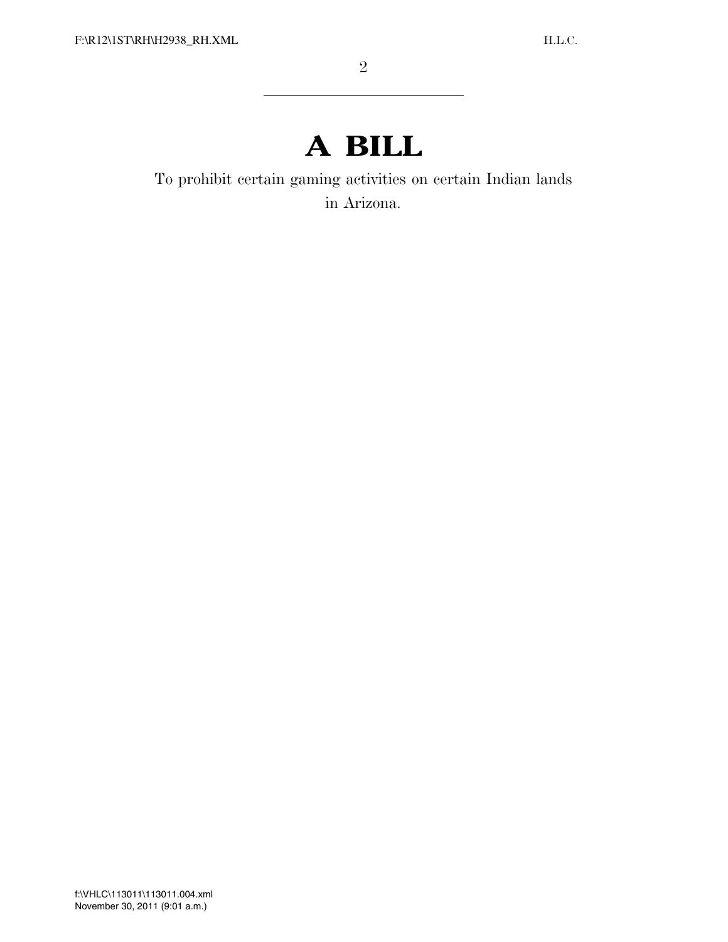# **A BILL**

To prohibit certain gaming activities on certain Indian lands in Arizona.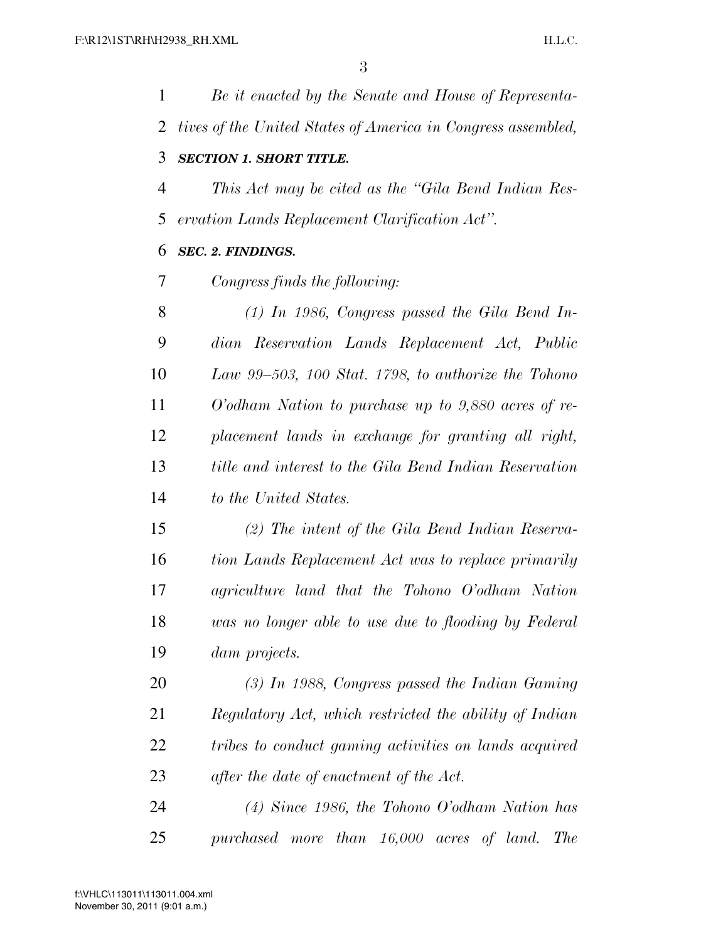| $\mathbf{1}$ | Be it enacted by the Senate and House of Representa-         |
|--------------|--------------------------------------------------------------|
| 2            | tives of the United States of America in Congress assembled, |
| 3            | <b>SECTION 1. SHORT TITLE.</b>                               |
| 4            | This Act may be cited as the "Gila Bend Indian Res-          |
| 5            | ervation Lands Replacement Clarification Act".               |
| 6            | <b>SEC. 2. FINDINGS.</b>                                     |
| 7            | Congress finds the following:                                |
| 8            | $(1)$ In 1986, Congress passed the Gila Bend In-             |
| 9            | dian Reservation Lands Replacement Act, Public               |
| 10           | Law 99–503, 100 Stat. 1798, to authorize the Tohono          |
| 11           | $O'odham$ Nation to purchase up to 9,880 acres of re-        |
| 12           | placement lands in exchange for granting all right,          |
| 13           | title and interest to the Gila Bend Indian Reservation       |
| 14           | to the United States.                                        |
| 15           | $(2)$ The intent of the Gila Bend Indian Reserva-            |
| 16           | tion Lands Replacement Act was to replace primarily          |
| 17           | agriculture land that the Tohono O'odham Nation              |
| 18           | was no longer able to use due to flooding by Federal         |
| 19           | <i>dam projects.</i>                                         |
| 20           | $(3)$ In 1988, Congress passed the Indian Gaming             |
| 21           | Regulatory Act, which restricted the ability of Indian       |
| 22           | tribes to conduct gaming activities on lands acquired        |
| 23           | after the date of enactment of the Act.                      |
| 24           | $(4)$ Since 1986, the Tohono O'odham Nation has              |

*purchased more than 16,000 acres of land. The*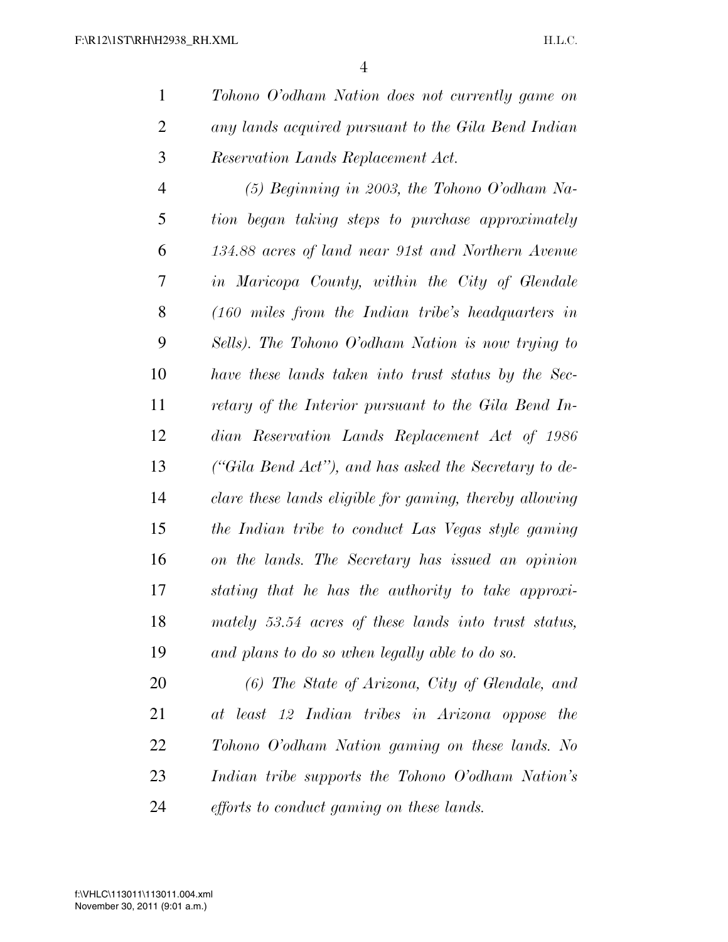*Tohono O'odham Nation does not currently game on any lands acquired pursuant to the Gila Bend Indian Reservation Lands Replacement Act.* 

 *(5) Beginning in 2003, the Tohono O'odham Na- tion began taking steps to purchase approximately 134.88 acres of land near 91st and Northern Avenue in Maricopa County, within the City of Glendale (160 miles from the Indian tribe's headquarters in Sells). The Tohono O'odham Nation is now trying to have these lands taken into trust status by the Sec- retary of the Interior pursuant to the Gila Bend In- dian Reservation Lands Replacement Act of 1986 (''Gila Bend Act''), and has asked the Secretary to de- clare these lands eligible for gaming, thereby allowing the Indian tribe to conduct Las Vegas style gaming on the lands. The Secretary has issued an opinion stating that he has the authority to take approxi- mately 53.54 acres of these lands into trust status, and plans to do so when legally able to do so.* 

 *(6) The State of Arizona, City of Glendale, and at least 12 Indian tribes in Arizona oppose the Tohono O'odham Nation gaming on these lands. No Indian tribe supports the Tohono O'odham Nation's efforts to conduct gaming on these lands.*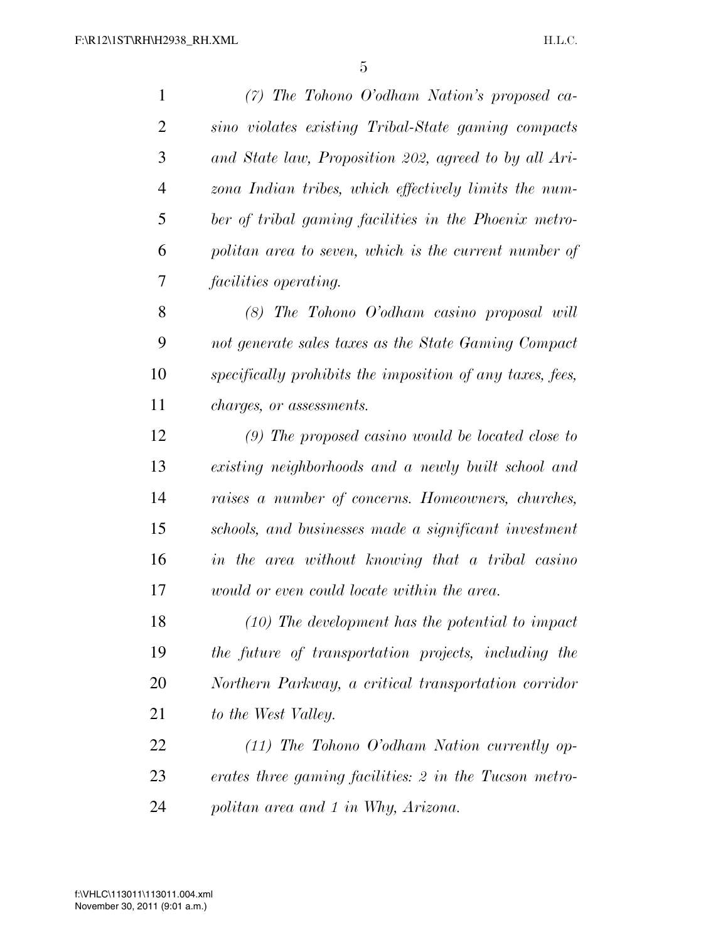*(7) The Tohono O'odham Nation's proposed ca- sino violates existing Tribal-State gaming compacts and State law, Proposition 202, agreed to by all Ari- zona Indian tribes, which effectively limits the num- ber of tribal gaming facilities in the Phoenix metro- politan area to seven, which is the current number of facilities operating. (8) The Tohono O'odham casino proposal will not generate sales taxes as the State Gaming Compact specifically prohibits the imposition of any taxes, fees, charges, or assessments. (9) The proposed casino would be located close to existing neighborhoods and a newly built school and raises a number of concerns. Homeowners, churches, schools, and businesses made a significant investment in the area without knowing that a tribal casino would or even could locate within the area. (10) The development has the potential to impact the future of transportation projects, including the Northern Parkway, a critical transportation corridor to the West Valley. (11) The Tohono O'odham Nation currently op- erates three gaming facilities: 2 in the Tucson metro-politan area and 1 in Why, Arizona.*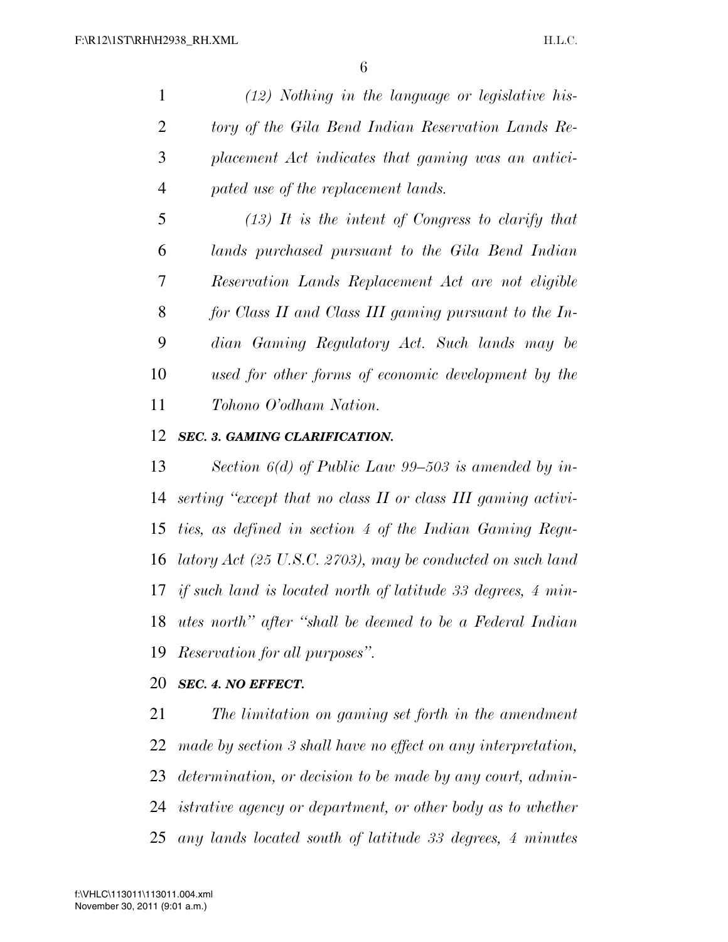*(12) Nothing in the language or legislative his- tory of the Gila Bend Indian Reservation Lands Re- placement Act indicates that gaming was an antici-pated use of the replacement lands.* 

 *(13) It is the intent of Congress to clarify that lands purchased pursuant to the Gila Bend Indian Reservation Lands Replacement Act are not eligible for Class II and Class III gaming pursuant to the In- dian Gaming Regulatory Act. Such lands may be used for other forms of economic development by the Tohono O'odham Nation.* 

#### *SEC. 3. GAMING CLARIFICATION.*

 *Section 6(d) of Public Law 99–503 is amended by in- serting ''except that no class II or class III gaming activi- ties, as defined in section 4 of the Indian Gaming Regu- latory Act (25 U.S.C. 2703), may be conducted on such land if such land is located north of latitude 33 degrees, 4 min- utes north'' after ''shall be deemed to be a Federal Indian Reservation for all purposes''.* 

### *SEC. 4. NO EFFECT.*

 *The limitation on gaming set forth in the amendment made by section 3 shall have no effect on any interpretation, determination, or decision to be made by any court, admin- istrative agency or department, or other body as to whether any lands located south of latitude 33 degrees, 4 minutes*